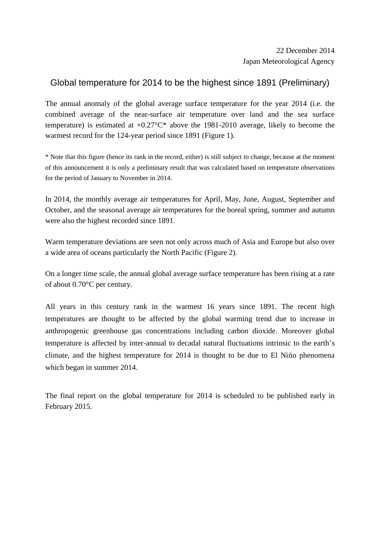## Global temperature for 2014 to be the highest since 1891 (Preliminary)

The annual anomaly of the global average surface temperature for the year 2014 (i.e. the combined average of the near-surface air temperature over land and the sea surface temperature) is estimated at  $+0.27^{\circ}C^*$  above the 1981-2010 average, likely to become the warmest record for the 124-year period since 1891 (Figure 1).

\* Note that this figure (hence its rank in the record, either) is still subject to change, because at the moment of this announcement it is only a preliminary result that was calculated based on temperature observations for the period of January to November in 2014.

In 2014, the monthly average air temperatures for April, May, June, August, September and October, and the seasonal average air temperatures for the boreal spring, summer and autumn were also the highest recorded since 1891.

Warm temperature deviations are seen not only across much of Asia and Europe but also over a wide area of oceans particularly the North Pacific (Figure 2).

On a longer time scale, the annual global average surface temperature has been rising at a rate of about 0.70°C per century.

All years in this century rank in the warmest 16 years since 1891. The recent high temperatures are thought to be affected by the global warming trend due to increase in anthropogenic greenhouse gas concentrations including carbon dioxide. Moreover global temperature is affected by inter-annual to decadal natural fluctuations intrinsic to the earth's climate, and the highest temperature for 2014 is thought to be due to El Niño phenomena which began in summer 2014.

The final report on the global temperature for 2014 is scheduled to be published early in February 2015.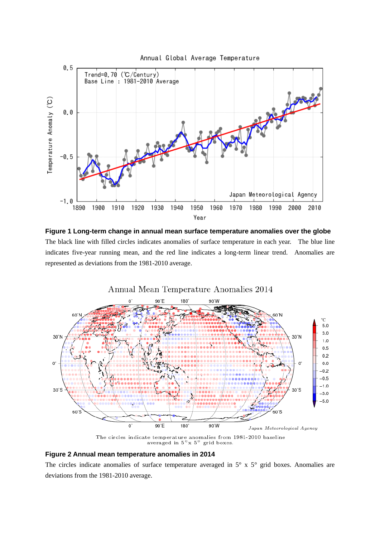

**Figure 1 Long-term change in annual mean surface temperature anomalies over the globe** The black line with filled circles indicates anomalies of surface temperature in each year. The blue line indicates five-year running mean, and the red line indicates a long-term linear trend. Anomalies are represented as deviations from the 1981-2010 average.



## **Figure 2 Annual mean temperature anomalies in 2014**

The circles indicate anomalies of surface temperature averaged in  $5^\circ$  x  $5^\circ$  grid boxes. Anomalies are deviations from the 1981-2010 average.